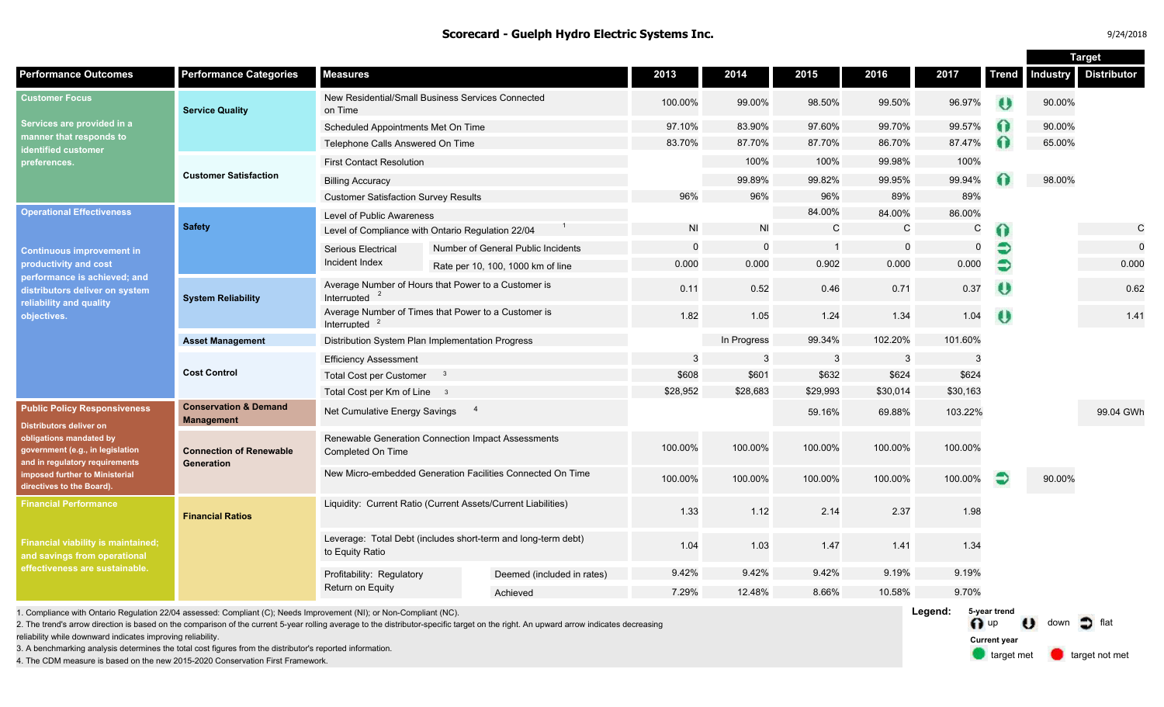#### **Scorecard - Guelph Hydro Electric Systems Inc.**

**Target**

|                                                                                                                                                                                                                                |                                                       |                                                                                  |  |                                    |            |              |                |             |             |                       |                 | Target             |
|--------------------------------------------------------------------------------------------------------------------------------------------------------------------------------------------------------------------------------|-------------------------------------------------------|----------------------------------------------------------------------------------|--|------------------------------------|------------|--------------|----------------|-------------|-------------|-----------------------|-----------------|--------------------|
| <b>Performance Outcomes</b>                                                                                                                                                                                                    | <b>Performance Categories</b>                         | <b>Measures</b>                                                                  |  |                                    | 2013       | 2014         | 2015           | 2016        | 2017        | <b>Trend</b>          | <b>Industry</b> | <b>Distributor</b> |
| <b>Customer Focus</b><br>Services are provided in a<br>manner that responds to<br><b>identified customer</b><br>preferences.                                                                                                   | <b>Service Quality</b>                                | New Residential/Small Business Services Connected<br>on Time                     |  | 100.00%                            | 99.00%     | 98.50%       | 99.50%         | 96.97%      | $\theta$    | 90.00%                |                 |                    |
|                                                                                                                                                                                                                                |                                                       | Scheduled Appointments Met On Time                                               |  |                                    | 97.10%     | 83.90%       | 97.60%         | 99.70%      | 99.57%      |                       | 90.00%          |                    |
|                                                                                                                                                                                                                                |                                                       | Telephone Calls Answered On Time                                                 |  |                                    | 83.70%     | 87.70%       | 87.70%         | 86.70%      | 87.47%      |                       | 65.00%          |                    |
|                                                                                                                                                                                                                                | <b>Customer Satisfaction</b>                          | <b>First Contact Resolution</b>                                                  |  |                                    |            | 100%         | 100%           | 99.98%      | 100%        |                       |                 |                    |
|                                                                                                                                                                                                                                |                                                       | <b>Billing Accuracy</b>                                                          |  |                                    |            | 99.89%       | 99.82%         | 99.95%      | 99.94%      |                       | 98.00%          |                    |
|                                                                                                                                                                                                                                |                                                       | <b>Customer Satisfaction Survey Results</b>                                      |  |                                    | 96%        | 96%          | 96%            | 89%         | 89%         |                       |                 |                    |
| <b>Operational Effectiveness</b><br><b>Continuous improvement in</b><br>productivity and cost<br>performance is achieved; and<br>distributors deliver on system<br>reliability and quality<br>objectives.                      | <b>Safety</b>                                         | Level of Public Awareness                                                        |  |                                    |            |              | 84.00%         | 84.00%      | 86.00%      |                       |                 |                    |
|                                                                                                                                                                                                                                |                                                       | Level of Compliance with Ontario Regulation 22/04                                |  |                                    | <b>NI</b>  | <b>NI</b>    | $\mathsf{C}$   | C           | $\mathsf C$ | 60                    |                 | C                  |
|                                                                                                                                                                                                                                |                                                       | <b>Serious Electrical</b>                                                        |  | Number of General Public Incidents | $\Omega$   | $\Omega$     | $\overline{1}$ | $\mathbf 0$ | $\Omega$    |                       |                 | $\Omega$           |
|                                                                                                                                                                                                                                |                                                       | Incident Index                                                                   |  | Rate per 10, 100, 1000 km of line  | 0.000      | 0.000        | 0.902          | 0.000       | 0.000       | €                     |                 | 0.000              |
|                                                                                                                                                                                                                                | <b>System Reliability</b>                             | Average Number of Hours that Power to a Customer is<br>Interrupted               |  |                                    | 0.11       | 0.52         | 0.46           | 0.71        | 0.37        | $\boldsymbol{\theta}$ |                 | 0.62               |
|                                                                                                                                                                                                                                |                                                       | Average Number of Times that Power to a Customer is<br>Interrupted $2$           |  |                                    | 1.82       | 1.05         | 1.24           | 1.34        | 1.04        | $\theta$              |                 | 1.41               |
|                                                                                                                                                                                                                                | <b>Asset Management</b>                               | Distribution System Plan Implementation Progress                                 |  |                                    |            | In Progress  | 99.34%         | 102.20%     | 101.60%     |                       |                 |                    |
|                                                                                                                                                                                                                                | <b>Cost Control</b>                                   | <b>Efficiency Assessment</b>                                                     |  |                                    | 3          | 3            | 3              | 3           | 3           |                       |                 |                    |
|                                                                                                                                                                                                                                |                                                       | <b>Total Cost per Customer</b>                                                   |  |                                    | \$608      | \$601        | \$632          | \$624       | \$624       |                       |                 |                    |
|                                                                                                                                                                                                                                |                                                       | Total Cost per Km of Line 3                                                      |  |                                    | \$28,952   | \$28,683     | \$29,993       | \$30,014    | \$30,163    |                       |                 |                    |
| <b>Public Policy Responsiveness</b><br>Distributors deliver on<br>obligations mandated by<br>government (e.g., in legislation<br>and in regulatory requirements<br>imposed further to Ministerial<br>directives to the Board). | <b>Conservation &amp; Demand</b><br><b>Management</b> | $\overline{4}$<br>Net Cumulative Energy Savings                                  |  |                                    |            |              | 59.16%         | 69.88%      | 103.22%     |                       |                 | 99.04 GWh          |
|                                                                                                                                                                                                                                | <b>Connection of Renewable</b><br>Generation          | Renewable Generation Connection Impact Assessments<br>Completed On Time          |  |                                    | 100.00%    | 100.00%      | 100.00%        | 100.00%     | 100.00%     |                       |                 |                    |
|                                                                                                                                                                                                                                |                                                       | New Micro-embedded Generation Facilities Connected On Time                       |  |                                    | 100.00%    | 100.00%      | 100.00%        | 100.00%     | 100.00%     |                       | 90.00%          |                    |
| <b>Financial Performance</b><br><b>Financial viability is maintained;</b><br>and savings from operational<br>effectiveness are sustainable.                                                                                    | <b>Financial Ratios</b>                               | Liquidity: Current Ratio (Current Assets/Current Liabilities)                    |  |                                    | 1.33       | 1.12         | 2.14           | 2.37        | 1.98        |                       |                 |                    |
|                                                                                                                                                                                                                                |                                                       | Leverage: Total Debt (includes short-term and long-term debt)<br>to Equity Ratio |  |                                    | 1.04       | 1.03         | 1.47           | 1.41        | 1.34        |                       |                 |                    |
|                                                                                                                                                                                                                                |                                                       | Profitability: Regulatory<br>Return on Equity                                    |  | Deemed (included in rates)         | 9.42%      | 9.42%        | 9.42%          | 9.19%       | 9.19%       |                       |                 |                    |
|                                                                                                                                                                                                                                |                                                       |                                                                                  |  | Achieved                           | 7.29%      | 12.48%       | 8.66%          | 10.58%      | 9.70%       |                       |                 |                    |
| 1. Compliance with Ontario Desulation 22/04 concessed: Compliant (C): Neede Improvement (NII): or Nep Compliant (NO)                                                                                                           |                                                       |                                                                                  |  |                                    | $I$ occupi | 5-year trond |                |             |             |                       |                 |                    |

1. Compliance with Ontario Regulation 22/04 assessed: Compliant (C); Needs Improvement (NI); or Non-Compliant (NC).

2. The trend's arrow direction is based on the comparison of the current 5-year rolling average to the distributor-specific target on the right. An upward arrow indicates decreasing

reliability while downward indicates improving reliability.

3. A benchmarking analysis determines the total cost figures from the distributor's reported information.

4. The CDM measure is based on the new 2015-2020 Conservation First Framework.

**Legend:** up  $\bigcup$  down  $\bigcap$  flat target met **target not met 5-year trend Current year**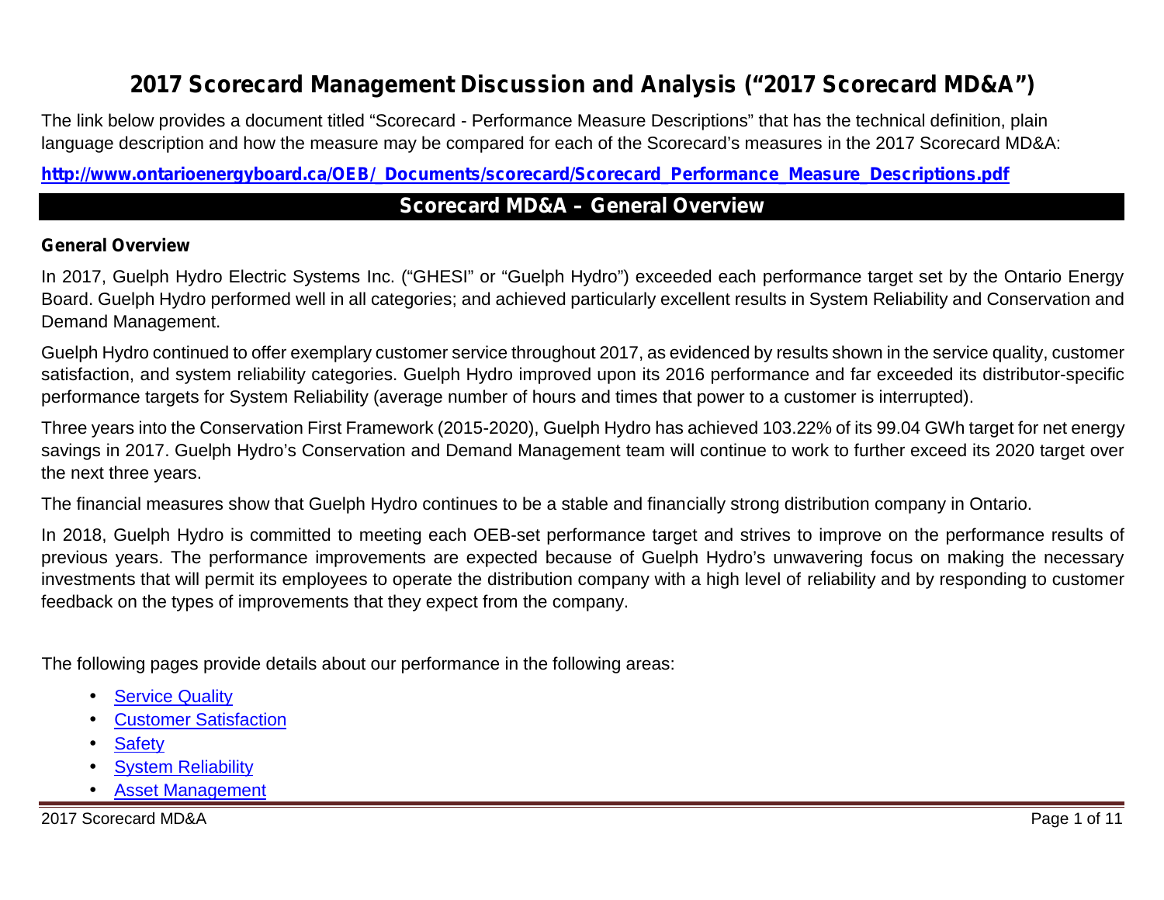# **2017 Scorecard Management Discussion and Analysis ("2017 Scorecard MD&A")**

The link below provides a document titled "Scorecard - Performance Measure Descriptions" that has the technical definition, plain language description and how the measure may be compared for each of the Scorecard's measures in the 2017 Scorecard MD&A:

**http://www.ontarioenergyboard.ca/OEB/\_Documents/scorecard/Scorecard\_Performance\_Measure\_Descriptions.pdf**

### **Scorecard MD&A – General Overview**

#### **General Overview**

In 2017, Guelph Hydro Electric Systems Inc. ("GHESI" or "Guelph Hydro") exceeded each performance target set by the Ontario Energy Board. Guelph Hydro performed well in all categories; and achieved particularly excellent results in System Reliability and Conservation and Demand Management.

Guelph Hydro continued to offer exemplary customer service throughout 2017, as evidenced by results shown in the service quality, customer satisfaction, and system reliability categories. Guelph Hydro improved upon its 2016 performance and far exceeded its distributor-specific performance targets for System Reliability (average number of hours and times that power to a customer is interrupted).

Three years into the Conservation First Framework (2015-2020), Guelph Hydro has achieved 103.22% of its 99.04 GWh target for net energy savings in 2017. Guelph Hydro's Conservation and Demand Management team will continue to work to further exceed its 2020 target over the next three years.

The financial measures show that Guelph Hydro continues to be a stable and financially strong distribution company in Ontario.

In 2018, Guelph Hydro is committed to meeting each OEB-set performance target and strives to improve on the performance results of previous years. The performance improvements are expected because of Guelph Hydro's unwavering focus on making the necessary investments that will permit its employees to operate the distribution company with a high level of reliability and by responding to customer feedback on the types of improvements that they expect from the company.

The following pages provide details about our performance in the following areas:

 Service Quality Customer Satisfaction **Safety**  System Reliability Asset Management

2017 Scorecard MD&A Page 1 of 11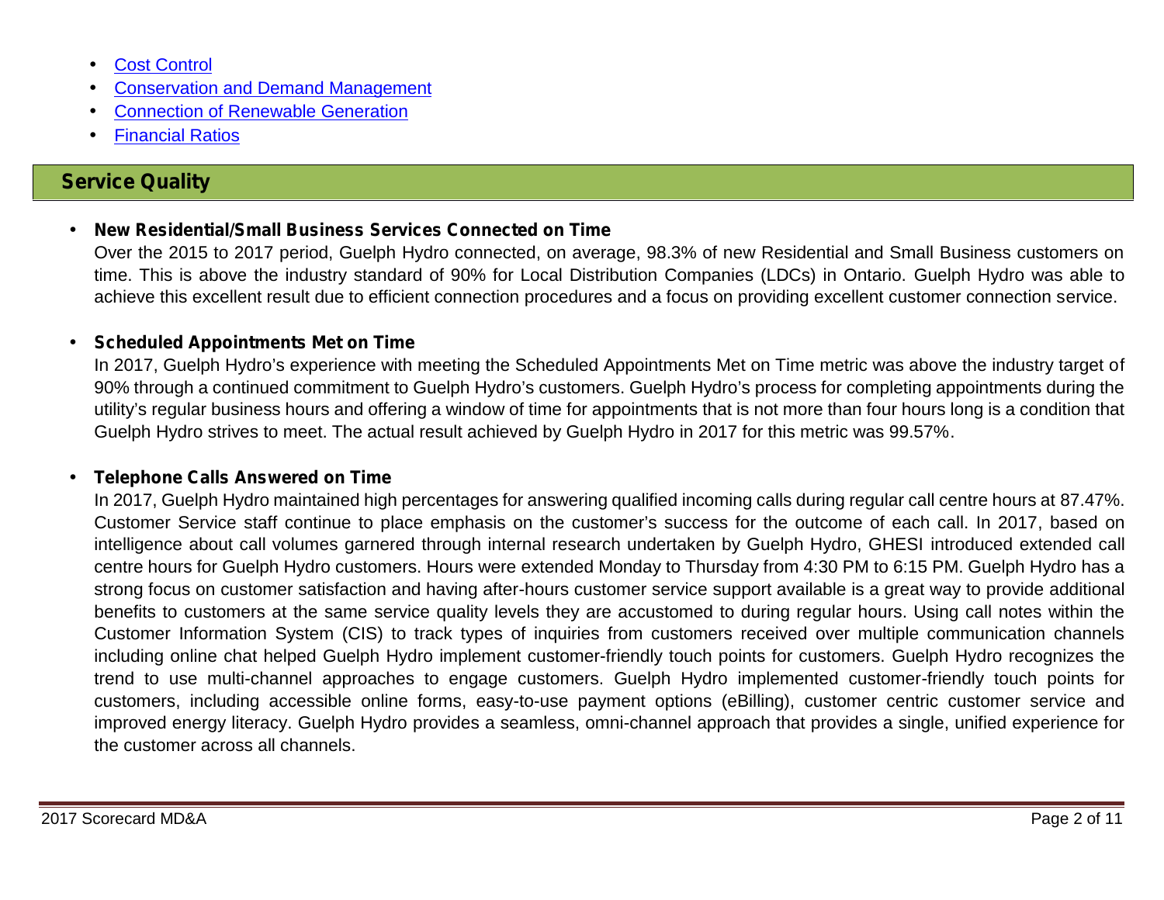Cost Control Conservation and Demand Management Connection of Renewable Generation Financial Ratios

### **Service Quality**

### **New Residential/Small Business Services Connected on Time**

Over the 2015 to 2017 period, Guelph Hydro connected, on average, 98.3% of new Residential and Small Business customers on time. This is above the industry standard of 90% for Local Distribution Companies (LDCs) in Ontario. Guelph Hydro was able to achieve this excellent result due to efficient connection procedures and a focus on providing excellent customer connection service.

#### **Scheduled Appointments Met on Time**

In 2017, Guelph Hydro's experience with meeting the Scheduled Appointments Met on Time metric was above the industry target of 90% through a continued commitment to Guelph Hydro's customers. Guelph Hydro's process for completing appointments during the utility's regular business hours and offering a window of time for appointments that is not more than four hours long is a condition that Guelph Hydro strives to meet. The actual result achieved by Guelph Hydro in 2017 for this metric was 99.57%.

#### **Telephone Calls Answered on Time**

In 2017, Guelph Hydro maintained high percentages for answering qualified incoming calls during regular call centre hours at 87.47%. Customer Service staff continue to place emphasis on the customer's success for the outcome of each call. In 2017, based on intelligence about call volumes garnered through internal research undertaken by Guelph Hydro, GHESI introduced extended call centre hours for Guelph Hydro customers. Hours were extended Monday to Thursday from 4:30 PM to 6:15 PM. Guelph Hydro has a strong focus on customer satisfaction and having after-hours customer service support available is a great way to provide additional benefits to customers at the same service quality levels they are accustomed to during regular hours. Using call notes within the Customer Information System (CIS) to track types of inquiries from customers received over multiple communication channels including online chat helped Guelph Hydro implement customer-friendly touch points for customers. Guelph Hydro recognizes the trend to use multi-channel approaches to engage customers. Guelph Hydro implemented customer-friendly touch points for customers, including accessible online forms, easy-to-use payment options (eBilling), customer centric customer service and improved energy literacy. Guelph Hydro provides a seamless, omni-channel approach that provides a single, unified experience for the customer across all channels.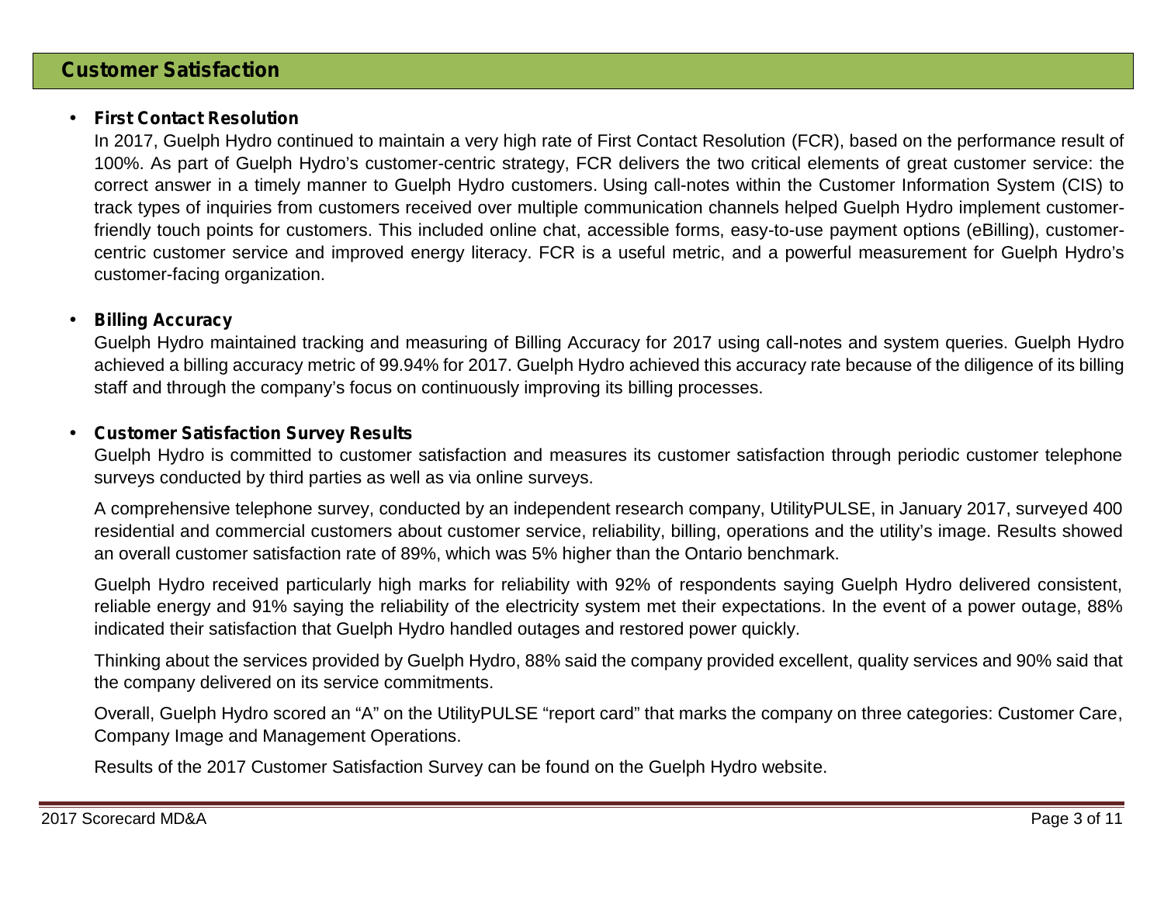### **First Contact Resolution**

In 2017, Guelph Hydro continued to maintain a very high rate of First Contact Resolution (FCR), based on the performance result of 100%. As part of Guelph Hydro's customer-centric strategy, FCR delivers the two critical elements of great customer service: the correct answer in a timely manner to Guelph Hydro customers. Using call-notes within the Customer Information System (CIS) to track types of inquiries from customers received over multiple communication channels helped Guelph Hydro implement customerfriendly touch points for customers. This included online chat, accessible forms, easy-to-use payment options (eBilling), customer centric customer service and improved energy literacy. FCR is a useful metric, and a powerful measurement for Guelph Hydro's customer-facing organization.

### **Billing Accuracy**

Guelph Hydro maintained tracking and measuring of Billing Accuracy for 2017 using call-notes and system queries. Guelph Hydro achieved a billing accuracy metric of 99.94% for 2017. Guelph Hydro achieved this accuracy rate because of the diligence of its billing staff and through the company's focus on continuously improving its billing processes.

### **Customer Satisfaction Survey Results**

Guelph Hydro is committed to customer satisfaction and measures its customer satisfaction through periodic customer telephone surveys conducted by third parties as well as via online surveys.

A comprehensive telephone survey, conducted by an independent research company, UtilityPULSE, in January 2017, surveyed 400 residential and commercial customers about customer service, reliability, billing, operations and the utility's image. Results showed an overall customer satisfaction rate of 89%, which was 5% higher than the Ontario benchmark.

Guelph Hydro received particularly high marks for reliability with 92% of respondents saying Guelph Hydro delivered consistent, reliable energy and 91% saying the reliability of the electricity system met their expectations. In the event of a power outage, 88% indicated their satisfaction that Guelph Hydro handled outages and restored power quickly.

Thinking about the services provided by Guelph Hydro, 88% said the company provided excellent, quality services and 90% said that the company delivered on its service commitments.

Overall, Guelph Hydro scored an "A" on the UtilityPULSE "report card" that marks the company on three categories: Customer Care, Company Image and Management Operations.

Results of the 2017 Customer Satisfaction Survey can be found on the Guelph Hydro website.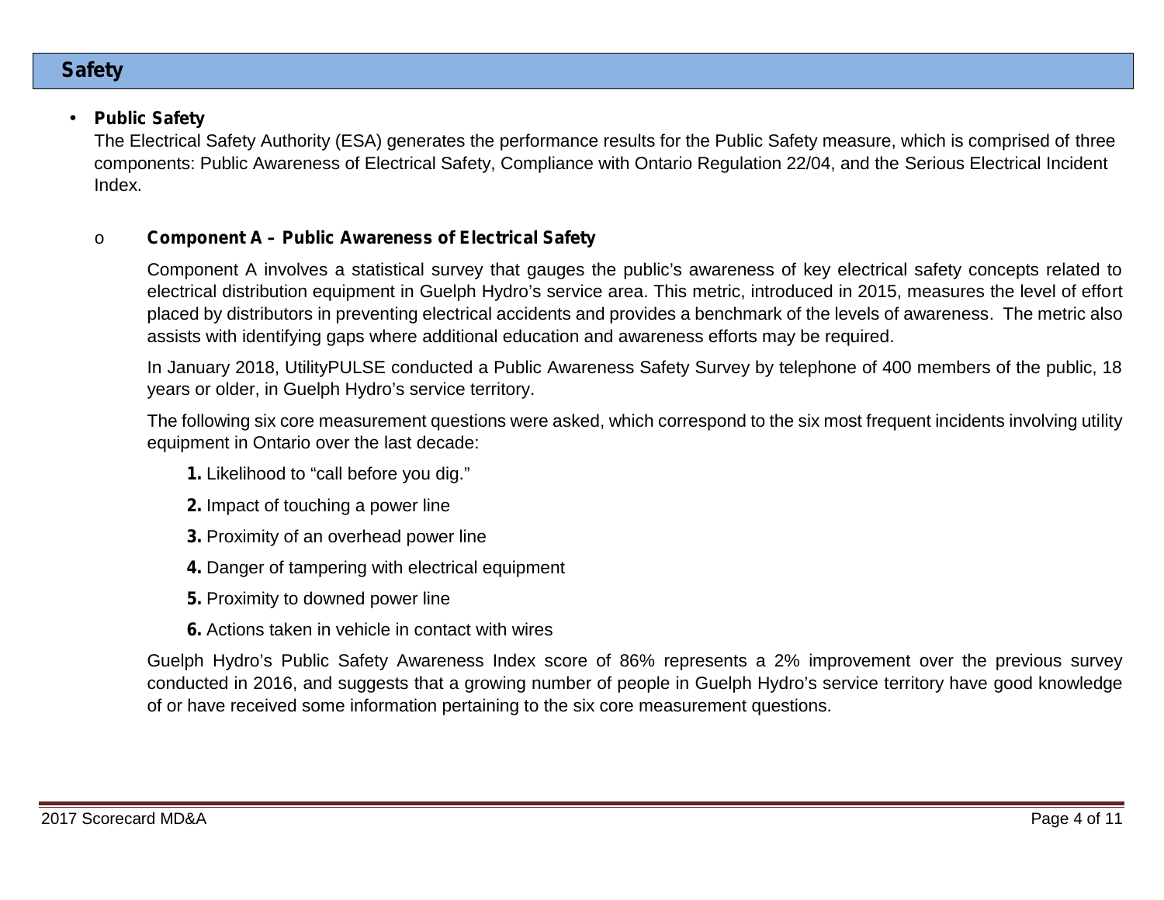### **Safety**

### **Public Safety**

The Electrical Safety Authority (ESA) generates the performance results for the Public Safety measure, which is comprised of three components: Public Awareness of Electrical Safety, Compliance with Ontario Regulation 22/04, and the Serious Electrical Incident Index.

### o **Component A – Public Awareness of Electrical Safety**

Component A involves a statistical survey that gauges the public's awareness of key electrical safety concepts related to electrical distribution equipment in Guelph Hydro's service area. This metric, introduced in 2015, measures the level of effort placed by distributors in preventing electrical accidents and provides a benchmark of the levels of awareness. The metric also assists with identifying gaps where additional education and awareness efforts may be required.

In January 2018, UtilityPULSE conducted a Public Awareness Safety Survey by telephone of 400 members of the public, 18 years or older, in Guelph Hydro's service territory.

The following six core measurement questions were asked, which correspond to the six most frequent incidents involving utility equipment in Ontario over the last decade:

- **1.** Likelihood to "call before you dig."
- **2.** Impact of touching a power line
- **3.** Proximity of an overhead power line
- **4.** Danger of tampering with electrical equipment
- **5.** Proximity to downed power line
- **6.** Actions taken in vehicle in contact with wires

Guelph Hydro's Public Safety Awareness Index score of 86% represents a 2% improvement over the previous survey conducted in 2016, and suggests that a growing number of people in Guelph Hydro's service territory have good knowledge of or have received some information pertaining to the six core measurement questions.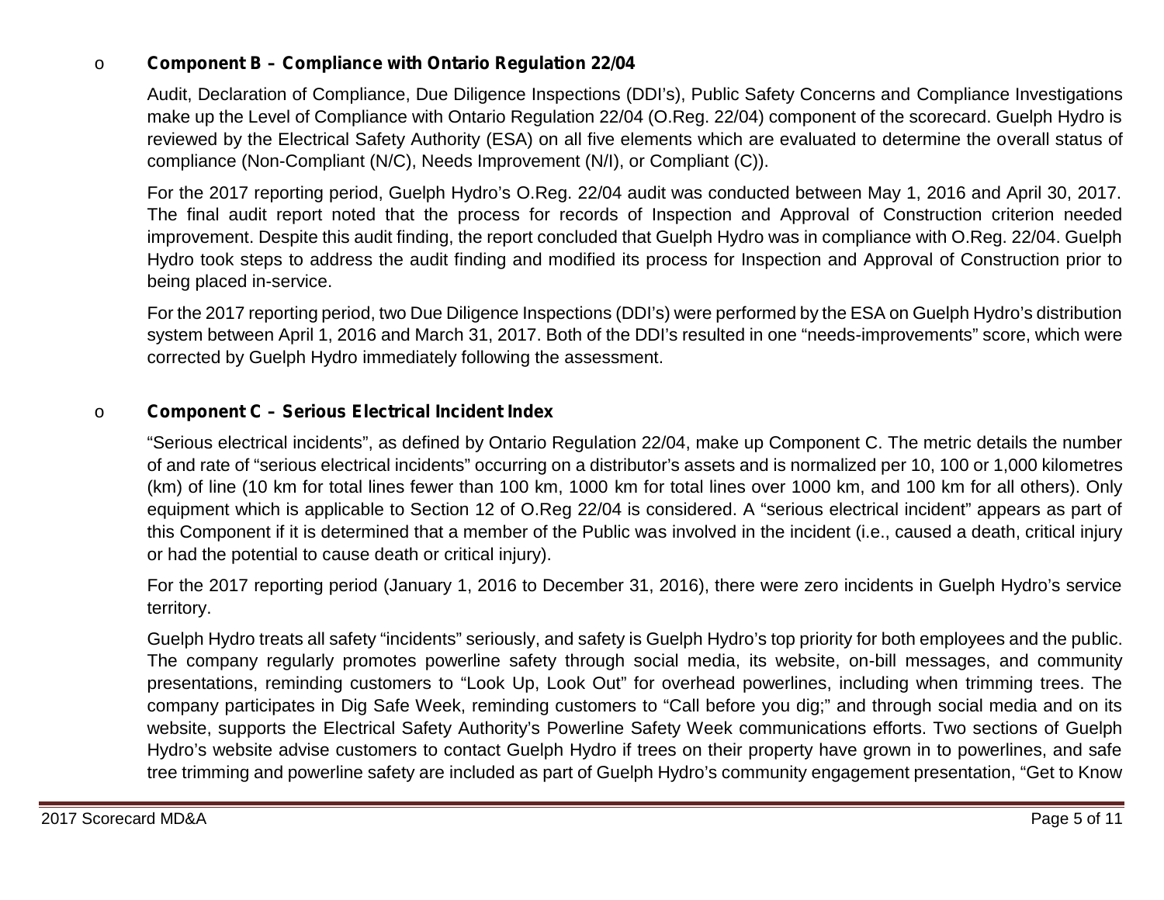#### o **Component B – Compliance with Ontario Regulation 22/04**

Audit, Declaration of Compliance, Due Diligence Inspections (DDI's), Public Safety Concerns and Compliance Investigations make up the Level of Compliance with Ontario Regulation 22/04 (O.Reg. 22/04) component of the scorecard. Guelph Hydro is reviewed by the Electrical Safety Authority (ESA) on all five elements which are evaluated to determine the overall status of compliance (Non-Compliant (N/C), Needs Improvement (N/I), or Compliant (C)).

For the 2017 reporting period, Guelph Hydro's O.Reg. 22/04 audit was conducted between May 1, 2016 and April 30, 2017. The final audit report noted that the process for records of Inspection and Approval of Construction criterion needed improvement. Despite this audit finding, the report concluded that Guelph Hydro was in compliance with O.Reg. 22/04. Guelph Hydro took steps to address the audit finding and modified its process for Inspection and Approval of Construction prior to being placed in-service.

For the 2017 reporting period, two Due Diligence Inspections (DDI's) were performed by the ESA on Guelph Hydro's distribution system between April 1, 2016 and March 31, 2017. Both of the DDI's resulted in one "needs-improvements" score, which were corrected by Guelph Hydro immediately following the assessment.

### o **Component C – Serious Electrical Incident Index**

"Serious electrical incidents", as defined by Ontario Regulation 22/04, make up Component C. The metric details the number of and rate of "serious electrical incidents" occurring on a distributor's assets and is normalized per 10, 100 or 1,000 kilometres (km) of line (10 km for total lines fewer than 100 km, 1000 km for total lines over 1000 km, and 100 km for all others). Only equipment which is applicable to Section 12 of O.Reg 22/04 is considered. A "serious electrical incident" appears as part of this Component if it is determined that a member of the Public was involved in the incident (i.e., caused a death, critical injury or had the potential to cause death or critical injury).

For the 2017 reporting period (January 1, 2016 to December 31, 2016), there were zero incidents in Guelph Hydro's service territory.

Guelph Hydro treats all safety "incidents" seriously, and safety is Guelph Hydro's top priority for both employees and the public. The company regularly promotes powerline safety through social media, its website, on-bill messages, and community presentations, reminding customers to "Look Up, Look Out" for overhead powerlines, including when trimming trees. The company participates in Dig Safe Week, reminding customers to "Call before you dig;" and through social media and on its website, supports the Electrical Safety Authority's Powerline Safety Week communications efforts. Two sections of Guelph Hydro's website advise customers to contact Guelph Hydro if trees on their property have grown in to powerlines, and safe tree trimming and powerline safety are included as part of Guelph Hydro's community engagement presentation, "Get to Know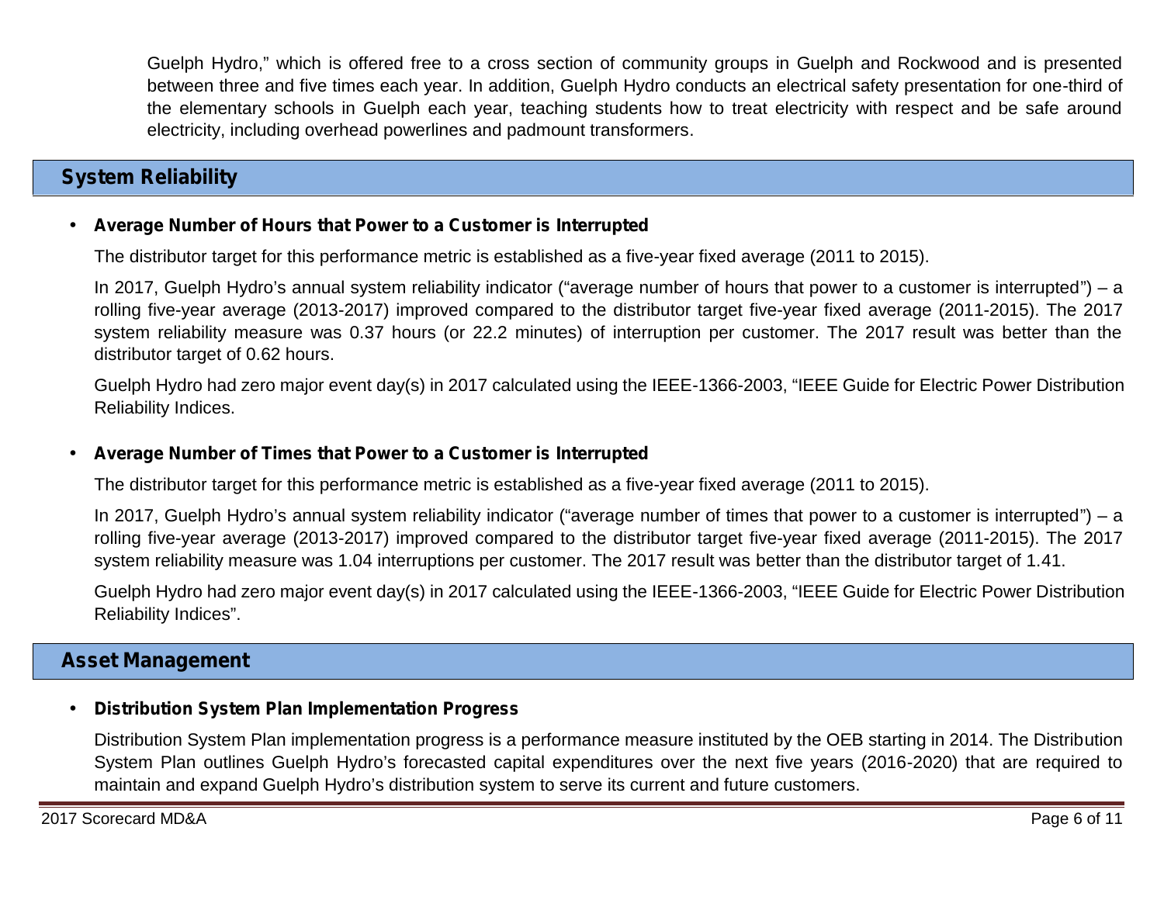Guelph Hydro," which is offered free to a cross section of community groups in Guelph and Rockwood and is presented between three and five times each year. In addition, Guelph Hydro conducts an electrical safety presentation for one-third of the elementary schools in Guelph each year, teaching students how to treat electricity with respect and be safe around electricity, including overhead powerlines and padmount transformers.

# **System Reliability**

#### **Average Number of Hours that Power to a Customer is Interrupted**

The distributor target for this performance metric is established as a five-year fixed average (2011 to 2015).

In 2017, Guelph Hydro's annual system reliability indicator ("average number of hours that power to a customer is interrupted") – a rolling five-year average (2013-2017) improved compared to the distributor target five-year fixed average (2011-2015). The 2017 system reliability measure was 0.37 hours (or 22.2 minutes) of interruption per customer. The 2017 result was better than the distributor target of 0.62 hours.

Guelph Hydro had zero major event day(s) in 2017 calculated using the IEEE-1366-2003, "IEEE Guide for Electric Power Distribution Reliability Indices.

#### **Average Number of Times that Power to a Customer is Interrupted**

The distributor target for this performance metric is established as a five-year fixed average (2011 to 2015).

In 2017, Guelph Hydro's annual system reliability indicator ("average number of times that power to a customer is interrupted") – a rolling five-year average (2013-2017) improved compared to the distributor target five-year fixed average (2011-2015). The 2017 system reliability measure was 1.04 interruptions per customer. The 2017 result was better than the distributor target of 1.41.

Guelph Hydro had zero major event day(s) in 2017 calculated using the IEEE-1366-2003, "IEEE Guide for Electric Power Distribution Reliability Indices".

## **Asset Management**

### **Distribution System Plan Implementation Progress**

Distribution System Plan implementation progress is a performance measure instituted by the OEB starting in 2014. The Distribution System Plan outlines Guelph Hydro's forecasted capital expenditures over the next five years (2016-2020) that are required to maintain and expand Guelph Hydro's distribution system to serve its current and future customers.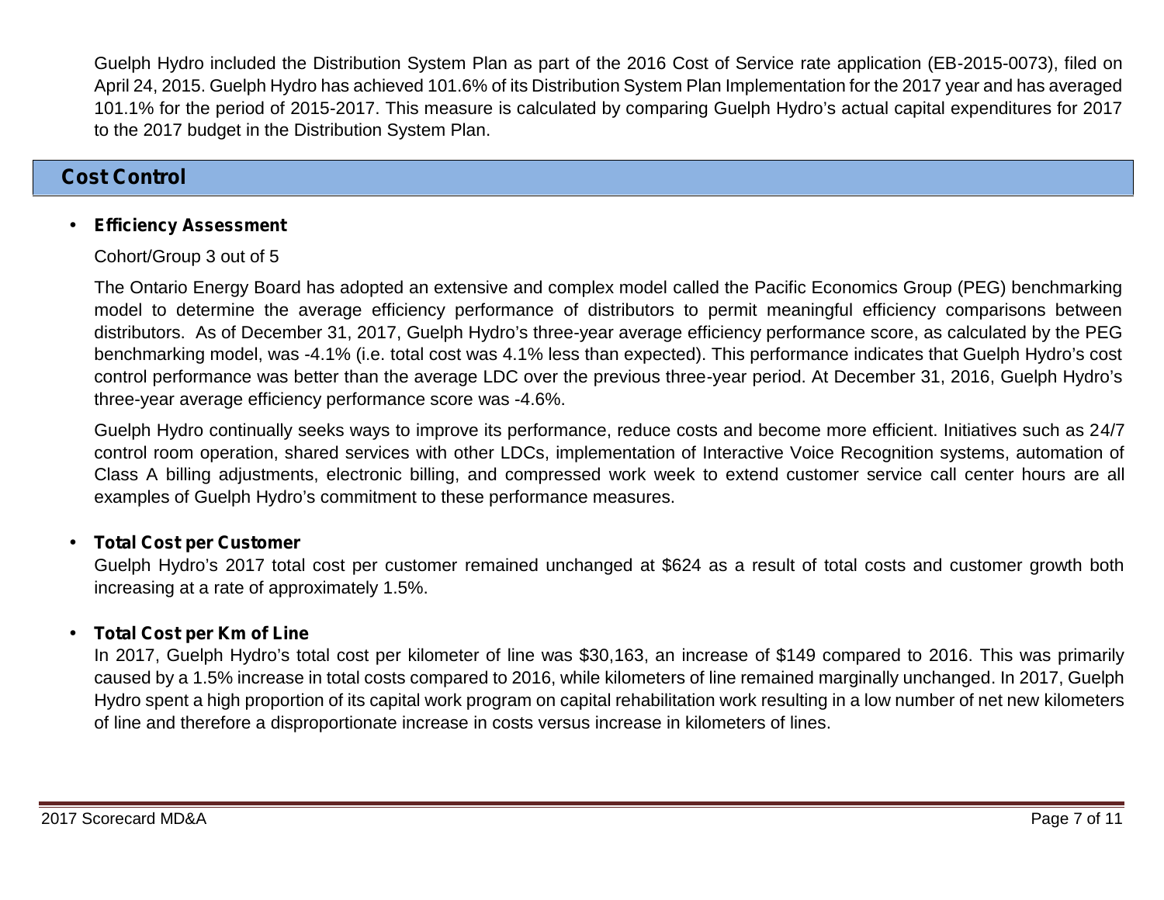Guelph Hydro included the Distribution System Plan as part of the 2016 Cost of Service rate application (EB-2015-0073), filed on April 24, 2015. Guelph Hydro has achieved 101.6% of its Distribution System Plan Implementation for the 2017 year and has averaged 101.1% for the period of 2015-2017. This measure is calculated by comparing Guelph Hydro's actual capital expenditures for 2017 to the 2017 budget in the Distribution System Plan.

### **Cost Control**

### **Efficiency Assessment**

#### Cohort/Group 3 out of 5

The Ontario Energy Board has adopted an extensive and complex model called the Pacific Economics Group (PEG) benchmarking model to determine the average efficiency performance of distributors to permit meaningful efficiency comparisons between distributors. As of December 31, 2017, Guelph Hydro's three-year average efficiency performance score, as calculated by the PEG benchmarking model, was -4.1% (i.e. total cost was 4.1% less than expected). This performance indicates that Guelph Hydro's cost control performance was better than the average LDC over the previous three-year period. At December 31, 2016, Guelph Hydro's three-year average efficiency performance score was -4.6%.

Guelph Hydro continually seeks ways to improve its performance, reduce costs and become more efficient. Initiatives such as 24/7 control room operation, shared services with other LDCs, implementation of Interactive Voice Recognition systems, automation of Class A billing adjustments, electronic billing, and compressed work week to extend customer service call center hours are all examples of Guelph Hydro's commitment to these performance measures.

### **Total Cost per Customer**

Guelph Hydro's 2017 total cost per customer remained unchanged at \$624 as a result of total costs and customer growth both increasing at a rate of approximately 1.5%.

### **Total Cost per Km of Line**

In 2017, Guelph Hydro's total cost per kilometer of line was \$30,163, an increase of \$149 compared to 2016. This was primarily caused by a 1.5% increase in total costs compared to 2016, while kilometers of line remained marginally unchanged. In 2017, Guelph Hydro spent a high proportion of its capital work program on capital rehabilitation work resulting in a low number of net new kilometers of line and therefore a disproportionate increase in costs versus increase in kilometers of lines.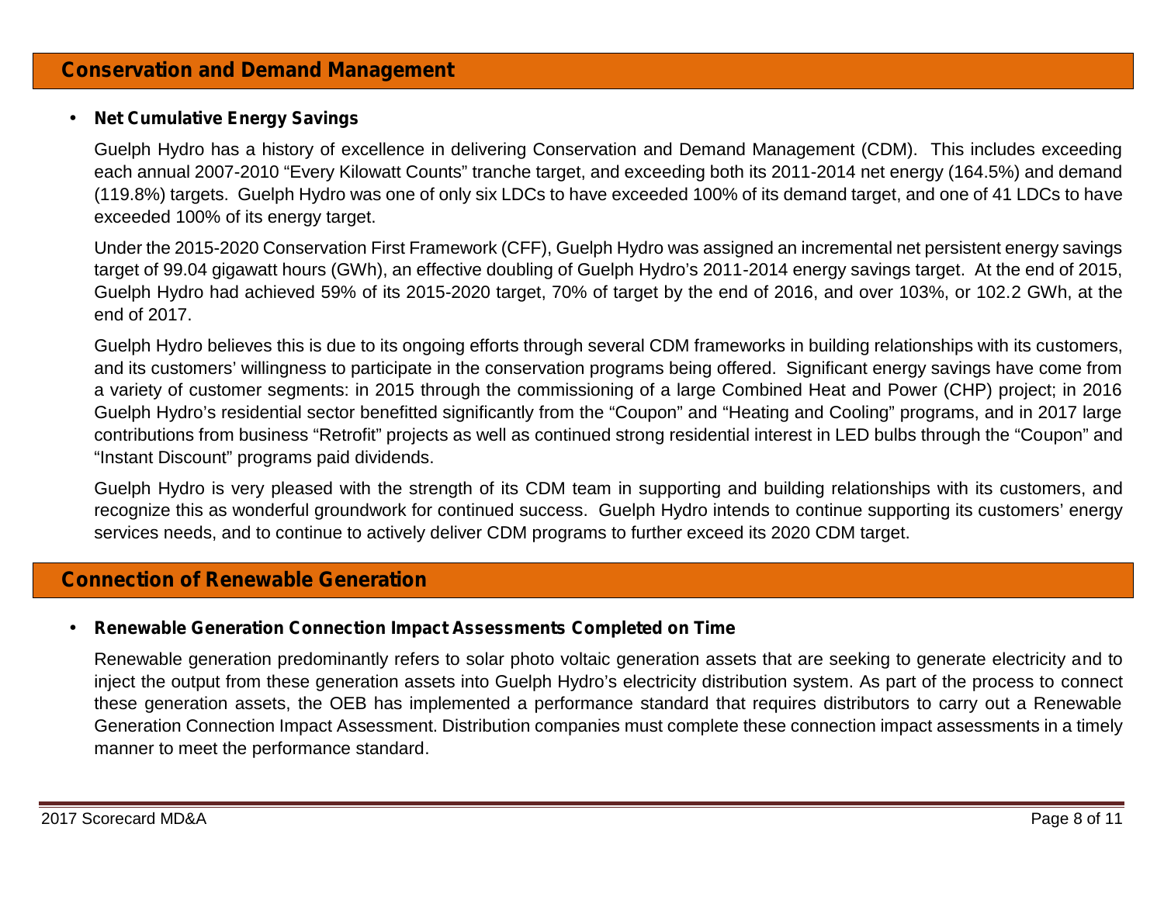### **Net Cumulative Energy Savings**

Guelph Hydro has a history of excellence in delivering Conservation and Demand Management (CDM). This includes exceeding each annual 2007-2010 "Every Kilowatt Counts" tranche target, and exceeding both its 2011-2014 net energy (164.5%) and demand (119.8%) targets. Guelph Hydro was one of only six LDCs to have exceeded 100% of its demand target, and one of 41 LDCs to have exceeded 100% of its energy target.

Under the 2015-2020 Conservation First Framework (CFF), Guelph Hydro was assigned an incremental net persistent energy savings target of 99.04 gigawatt hours (GWh), an effective doubling of Guelph Hydro's 2011-2014 energy savings target. At the end of 2015, Guelph Hydro had achieved 59% of its 2015-2020 target, 70% of target by the end of 2016, and over 103%, or 102.2 GWh, at the end of 2017.

Guelph Hydro believes this is due to its ongoing efforts through several CDM frameworks in building relationships with its customers, and its customers' willingness to participate in the conservation programs being offered. Significant energy savings have come from a variety of customer segments: in 2015 through the commissioning of a large Combined Heat and Power (CHP) project; in 2016 Guelph Hydro's residential sector benefitted significantly from the "Coupon" and "Heating and Cooling" programs, and in 2017 large contributions from business "Retrofit" projects as well as continued strong residential interest in LED bulbs through the "Coupon" and "Instant Discount" programs paid dividends.

Guelph Hydro is very pleased with the strength of its CDM team in supporting and building relationships with its customers, and recognize this as wonderful groundwork for continued success. Guelph Hydro intends to continue supporting its customers' energy services needs, and to continue to actively deliver CDM programs to further exceed its 2020 CDM target.

## **Connection of Renewable Generation**

#### **Renewable Generation Connection Impact Assessments Completed on Time**

Renewable generation predominantly refers to solar photo voltaic generation assets that are seeking to generate electricity and to inject the output from these generation assets into Guelph Hydro's electricity distribution system. As part of the process to connect these generation assets, the OEB has implemented a performance standard that requires distributors to carry out a Renewable Generation Connection Impact Assessment. Distribution companies must complete these connection impact assessments in a timely manner to meet the performance standard.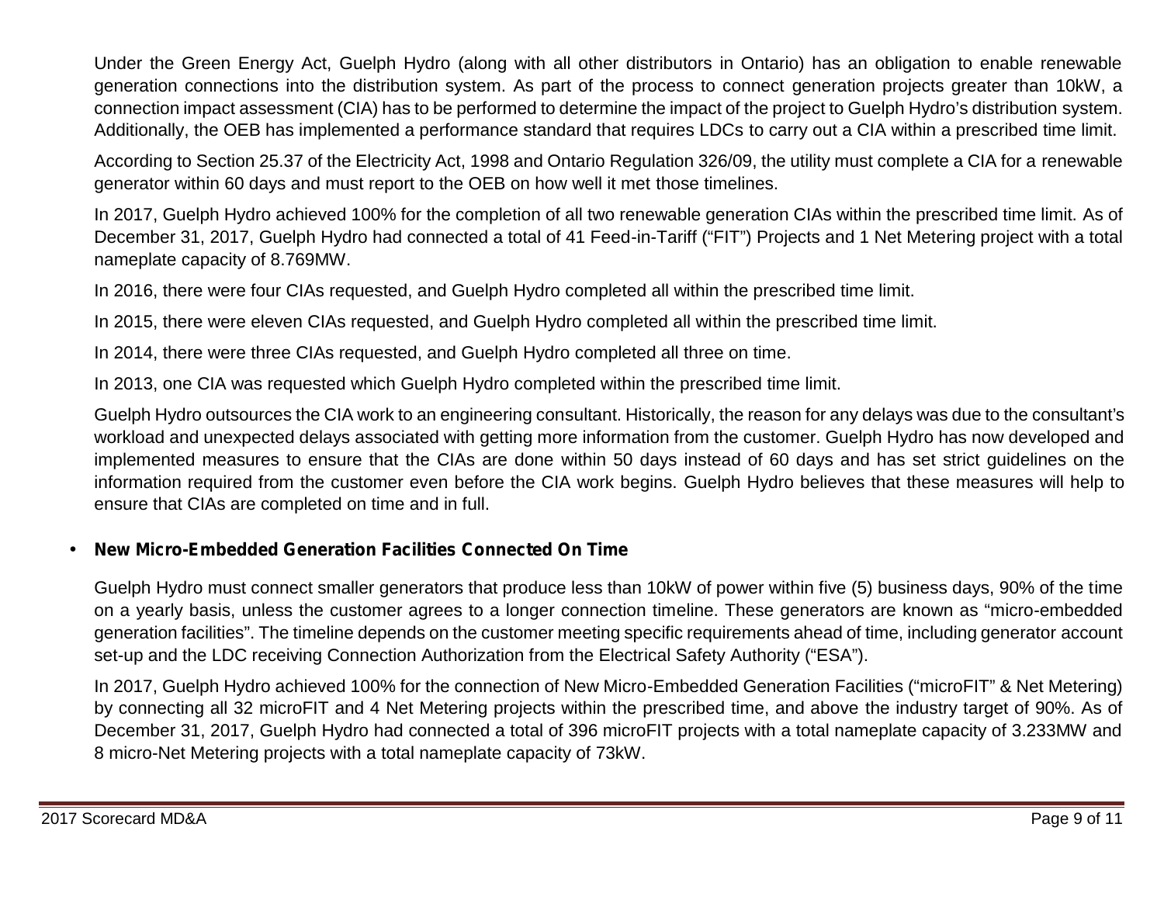Under the Green Energy Act, Guelph Hydro (along with all other distributors in Ontario) has an obligation to enable renewable generation connections into the distribution system. As part of the process to connect generation projects greater than 10kW, a connection impact assessment (CIA) has to be performed to determine the impact of the project to Guelph Hydro's distribution system. Additionally, the OEB has implemented a performance standard that requires LDCs to carry out a CIA within a prescribed time limit.

According to Section 25.37 of the Electricity Act, 1998 and Ontario Regulation 326/09, the utility must complete a CIA for a renewable generator within 60 days and must report to the OEB on how well it met those timelines.

In 2017, Guelph Hydro achieved 100% for the completion of all two renewable generation CIAs within the prescribed time limit. As of December 31, 2017, Guelph Hydro had connected a total of 41 Feed-in-Tariff ("FIT") Projects and 1 Net Metering project with a total nameplate capacity of 8.769MW.

In 2016, there were four CIAs requested, and Guelph Hydro completed all within the prescribed time limit.

In 2015, there were eleven CIAs requested, and Guelph Hydro completed all within the prescribed time limit.

In 2014, there were three CIAs requested, and Guelph Hydro completed all three on time.

In 2013, one CIA was requested which Guelph Hydro completed within the prescribed time limit.

Guelph Hydro outsources the CIA work to an engineering consultant. Historically, the reason for any delays was due to the consultant's workload and unexpected delays associated with getting more information from the customer. Guelph Hydro has now developed and implemented measures to ensure that the CIAs are done within 50 days instead of 60 days and has set strict guidelines on the information required from the customer even before the CIA work begins. Guelph Hydro believes that these measures will help to ensure that CIAs are completed on time and in full.

### **New Micro-Embedded Generation Facilities Connected On Time**

Guelph Hydro must connect smaller generators that produce less than 10kW of power within five (5) business days, 90% of the time on a yearly basis, unless the customer agrees to a longer connection timeline. These generators are known as "micro-embedded generation facilities". The timeline depends on the customer meeting specific requirements ahead of time, including generator account set-up and the LDC receiving Connection Authorization from the Electrical Safety Authority ("ESA").

In 2017, Guelph Hydro achieved 100% for the connection of New Micro-Embedded Generation Facilities ("microFIT" & Net Metering) by connecting all 32 microFIT and 4 Net Metering projects within the prescribed time, and above the industry target of 90%. As of December 31, 2017, Guelph Hydro had connected a total of 396 microFIT projects with a total nameplate capacity of 3.233MW and 8 micro-Net Metering projects with a total nameplate capacity of 73kW.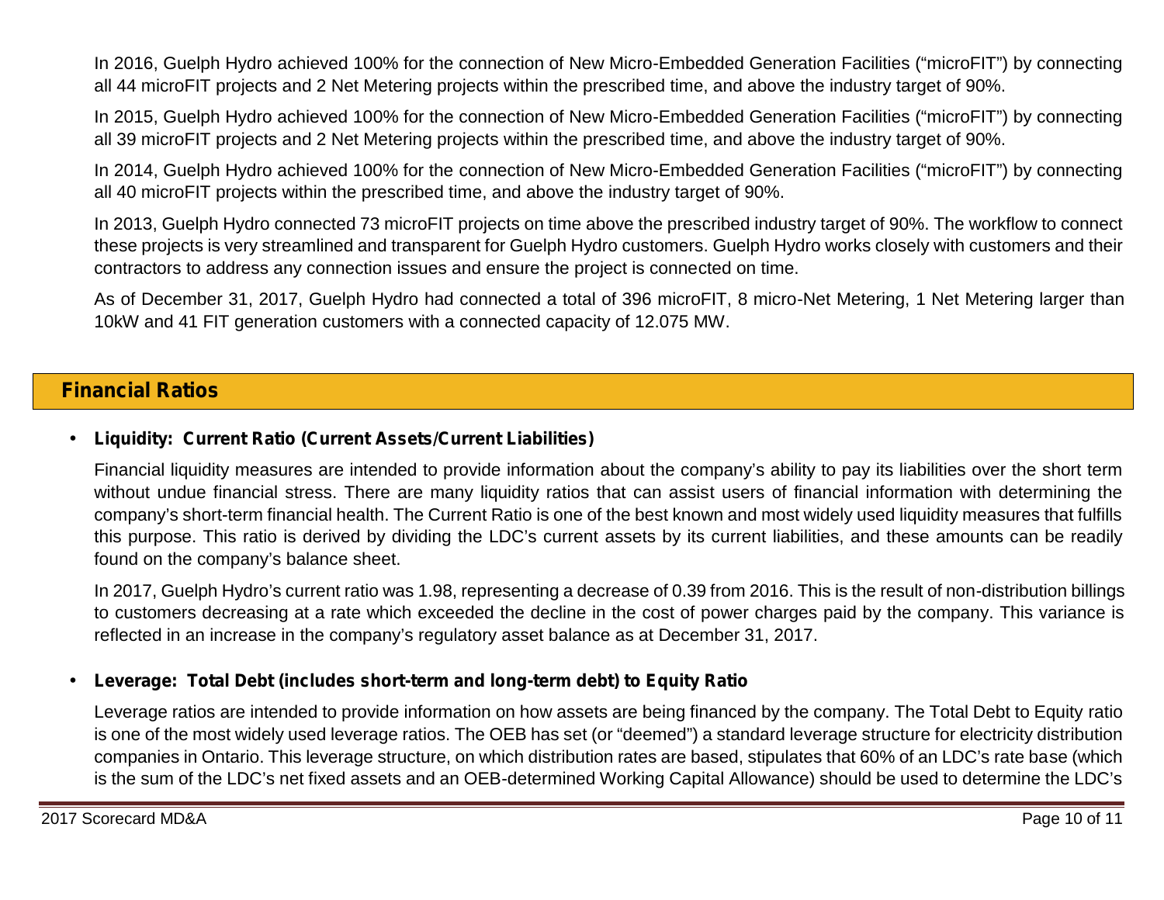In 2016, Guelph Hydro achieved 100% for the connection of New Micro-Embedded Generation Facilities ("microFIT") by connecting all 44 microFIT projects and 2 Net Metering projects within the prescribed time, and above the industry target of 90%.

In 2015, Guelph Hydro achieved 100% for the connection of New Micro-Embedded Generation Facilities ("microFIT") by connecting all 39 microFIT projects and 2 Net Metering projects within the prescribed time, and above the industry target of 90%.

In 2014, Guelph Hydro achieved 100% for the connection of New Micro-Embedded Generation Facilities ("microFIT") by connecting all 40 microFIT projects within the prescribed time, and above the industry target of 90%.

In 2013, Guelph Hydro connected 73 microFIT projects on time above the prescribed industry target of 90%. The workflow to connect these projects is very streamlined and transparent for Guelph Hydro customers. Guelph Hydro works closely with customers and their contractors to address any connection issues and ensure the project is connected on time.

As of December 31, 2017, Guelph Hydro had connected a total of 396 microFIT, 8 micro-Net Metering, 1 Net Metering larger than 10kW and 41 FIT generation customers with a connected capacity of 12.075 MW.

# **Financial Ratios**

### **Liquidity: Current Ratio (Current Assets/Current Liabilities)**

Financial liquidity measures are intended to provide information about the company's ability to pay its liabilities over the short term without undue financial stress. There are many liquidity ratios that can assist users of financial information with determining the company's short-term financial health. The Current Ratio is one of the best known and most widely used liquidity measures that fulfills this purpose. This ratio is derived by dividing the LDC's current assets by its current liabilities, and these amounts can be readily found on the company's balance sheet.

In 2017, Guelph Hydro's current ratio was 1.98, representing a decrease of 0.39 from 2016. This is the result of non-distribution billings to customers decreasing at a rate which exceeded the decline in the cost of power charges paid by the company. This variance is reflected in an increase in the company's regulatory asset balance as at December 31, 2017.

### **Leverage: Total Debt (includes short-term and long-term debt) to Equity Ratio**

Leverage ratios are intended to provide information on how assets are being financed by the company. The Total Debt to Equity ratio is one of the most widely used leverage ratios. The OEB has set (or "deemed") a standard leverage structure for electricity distribution companies in Ontario. This leverage structure, on which distribution rates are based, stipulates that 60% of an LDC's rate base (which is the sum of the LDC's net fixed assets and an OEB-determined Working Capital Allowance) should be used to determine the LDC's